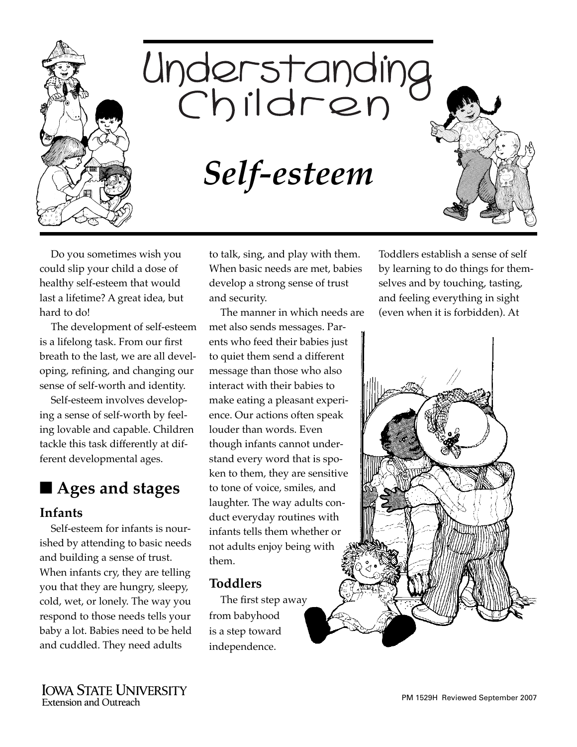

# Understanding<br>Children

*Self-esteem*

Do you sometimes wish you could slip your child a dose of healthy self-esteem that would last a lifetime? A great idea, but hard to do!

The development of self-esteem is a lifelong task. From our first breath to the last, we are all developing, refining, and changing our sense of self-worth and identity.

Self-esteem involves developing a sense of self-worth by feeling lovable and capable. Children tackle this task differently at different developmental ages.

# ■ **Ages and stages**

#### **Infants**

Self-esteem for infants is nourished by attending to basic needs and building a sense of trust. When infants cry, they are telling you that they are hungry, sleepy, cold, wet, or lonely. The way you respond to those needs tells your baby a lot. Babies need to be held and cuddled. They need adults

to talk, sing, and play with them. When basic needs are met, babies develop a strong sense of trust and security.

The manner in which needs are met also sends messages. Parents who feed their babies just to quiet them send a different message than those who also interact with their babies to make eating a pleasant experience. Our actions often speak louder than words. Even though infants cannot understand every word that is spoken to them, they are sensitive to tone of voice, smiles, and laughter. The way adults conduct everyday routines with infants tells them whether or not adults enjoy being with them.

#### **Toddlers**

The first step away from babyhood is a step toward independence.

Toddlers establish a sense of self by learning to do things for themselves and by touching, tasting, and feeling everything in sight (even when it is forbidden). At

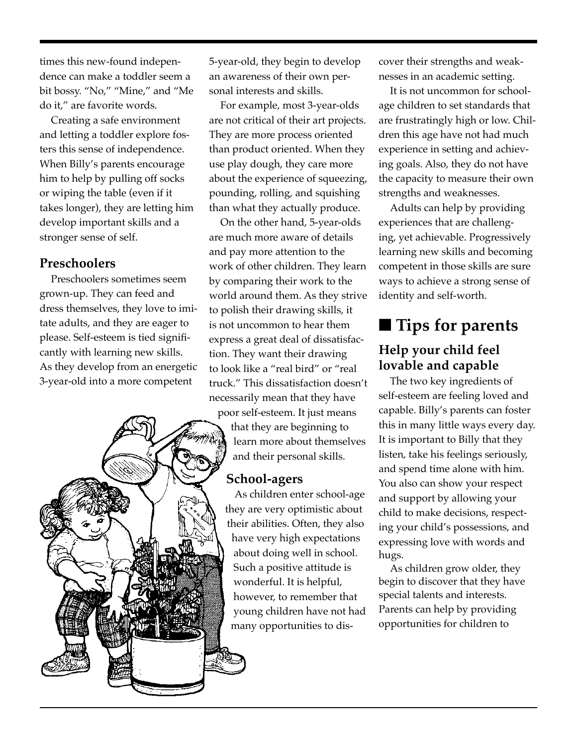times this new-found independence can make a toddler seem a bit bossy. "No," "Mine," and "Me do it," are favorite words.

Creating a safe environment and letting a toddler explore fosters this sense of independence. When Billy's parents encourage him to help by pulling off socks or wiping the table (even if it takes longer), they are letting him develop important skills and a stronger sense of self.

#### **Preschoolers**

Preschoolers sometimes seem grown-up. They can feed and dress themselves, they love to imitate adults, and they are eager to please. Self-esteem is tied significantly with learning new skills. As they develop from an energetic 3-year-old into a more competent



5-year-old, they begin to develop an awareness of their own personal interests and skills.

For example, most 3-year-olds are not critical of their art projects. They are more process oriented than product oriented. When they use play dough, they care more about the experience of squeezing, pounding, rolling, and squishing than what they actually produce.

On the other hand, 5-year-olds are much more aware of details and pay more attention to the work of other children. They learn by comparing their work to the world around them. As they strive to polish their drawing skills, it is not uncommon to hear them express a great deal of dissatisfaction. They want their drawing to look like a "real bird" or "real truck." This dissatisfaction doesn't necessarily mean that they have

poor self-esteem. It just means that they are beginning to learn more about themselves and their personal skills.

#### **School-agers**

As children enter school-age they are very optimistic about their abilities. Often, they also have very high expectations about doing well in school. Such a positive attitude is wonderful. It is helpful, however, to remember that young children have not had many opportunities to dis-

cover their strengths and weaknesses in an academic setting.

It is not uncommon for schoolage children to set standards that are frustratingly high or low. Children this age have not had much experience in setting and achieving goals. Also, they do not have the capacity to measure their own strengths and weaknesses.

Adults can help by providing experiences that are challenging, yet achievable. Progressively learning new skills and becoming competent in those skills are sure ways to achieve a strong sense of identity and self-worth.

# ■ **Tips for parents**

#### **Help your child feel lovable and capable**

The two key ingredients of self-esteem are feeling loved and capable. Billy's parents can foster this in many little ways every day. It is important to Billy that they listen, take his feelings seriously, and spend time alone with him. You also can show your respect and support by allowing your child to make decisions, respecting your child's possessions, and expressing love with words and hugs.

As children grow older, they begin to discover that they have special talents and interests. Parents can help by providing opportunities for children to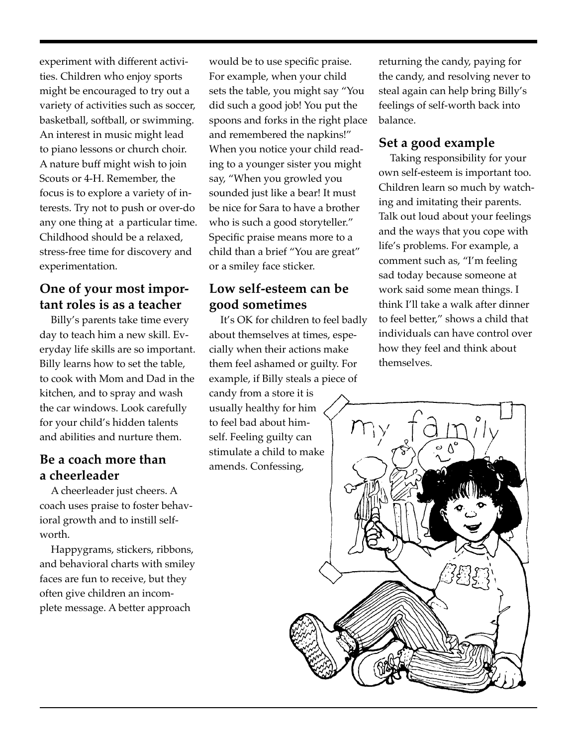experiment with different activities. Children who enjoy sports might be encouraged to try out a variety of activities such as soccer, basketball, softball, or swimming. An interest in music might lead to piano lessons or church choir. A nature buff might wish to join Scouts or 4-H. Remember, the focus is to explore a variety of interests. Try not to push or over-do any one thing at a particular time. Childhood should be a relaxed, stress-free time for discovery and experimentation.

#### **One of your most important roles is as a teacher**

Billy's parents take time every day to teach him a new skill. Everyday life skills are so important. Billy learns how to set the table, to cook with Mom and Dad in the kitchen, and to spray and wash the car windows. Look carefully for your child's hidden talents and abilities and nurture them.

#### **Be a coach more than a cheerleader**

A cheerleader just cheers. A coach uses praise to foster behavioral growth and to instill selfworth.

Happygrams, stickers, ribbons, and behavioral charts with smiley faces are fun to receive, but they often give children an incomplete message. A better approach

would be to use specific praise. For example, when your child sets the table, you might say "You did such a good job! You put the spoons and forks in the right place and remembered the napkins!" When you notice your child reading to a younger sister you might say, "When you growled you sounded just like a bear! It must be nice for Sara to have a brother who is such a good storyteller." Specific praise means more to a child than a brief "You are great" or a smiley face sticker.

#### **Low self-esteem can be good sometimes**

candy from a store it is It's OK for children to feel badly about themselves at times, especially when their actions make them feel ashamed or guilty. For example, if Billy steals a piece of usually healthy for him to feel bad about himself. Feeling guilty can stimulate a child to make

returning the candy, paying for the candy, and resolving never to steal again can help bring Billy's feelings of self-worth back into balance.

#### **Set a good example**

Taking responsibility for your own self-esteem is important too. Children learn so much by watching and imitating their parents. Talk out loud about your feelings and the ways that you cope with life's problems. For example, a comment such as, "I'm feeling sad today because someone at work said some mean things. I think I'll take a walk after dinner to feel better," shows a child that individuals can have control over how they feel and think about themselves.